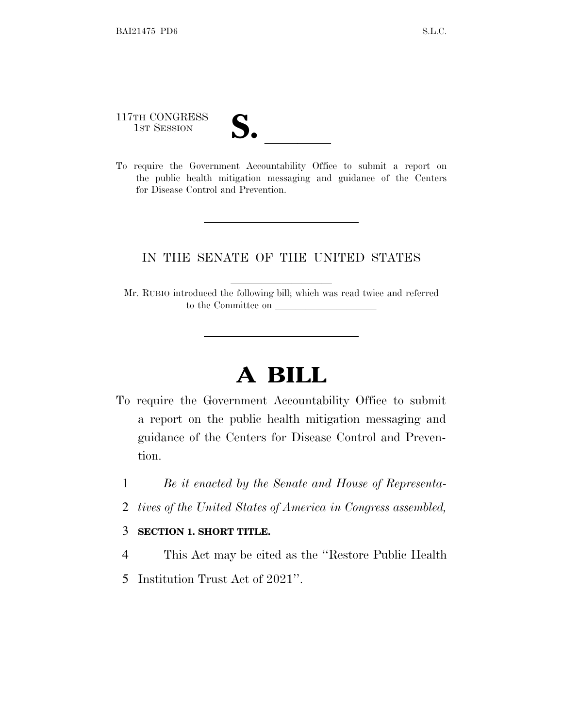117TH CONGRESS

- 
- 117TH CONGRESS<br>
1ST SESSION<br>
To require the Government Accountability Office to submit a report on the public health mitigation messaging and guidance of the Centers for Disease Control and Prevention.

## IN THE SENATE OF THE UNITED STATES

Mr. RUBIO introduced the following bill; which was read twice and referred to the Committee on

## **A BILL**

- To require the Government Accountability Office to submit a report on the public health mitigation messaging and guidance of the Centers for Disease Control and Prevention.
	- 1 *Be it enacted by the Senate and House of Representa-*
	- 2 *tives of the United States of America in Congress assembled,*

## 3 **SECTION 1. SHORT TITLE.**

- 4 This Act may be cited as the ''Restore Public Health
- 5 Institution Trust Act of 2021''.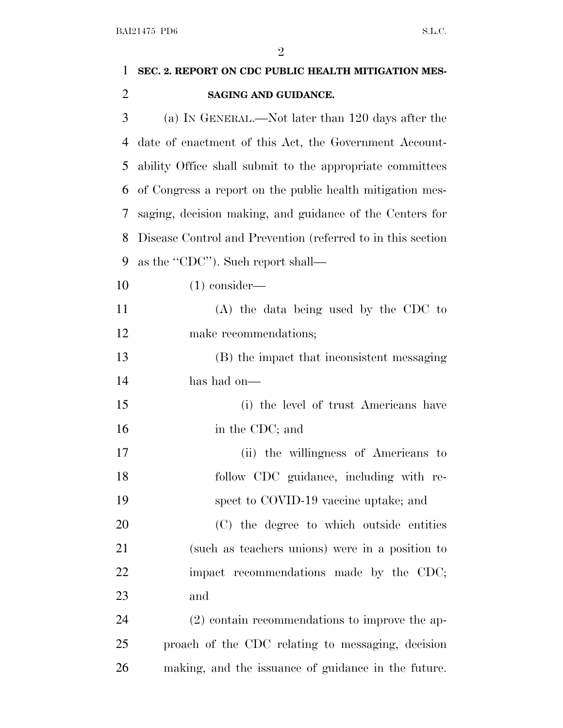|                | $\overline{2}$                                              |
|----------------|-------------------------------------------------------------|
| 1              | SEC. 2. REPORT ON CDC PUBLIC HEALTH MITIGATION MES-         |
| $\overline{2}$ | SAGING AND GUIDANCE.                                        |
| 3              | (a) IN GENERAL.—Not later than 120 days after the           |
| 4              | date of enactment of this Act, the Government Account-      |
| 5              | ability Office shall submit to the appropriate committees   |
| 6              | of Congress a report on the public health mitigation mes-   |
| 7              | saging, decision making, and guidance of the Centers for    |
| 8              | Disease Control and Prevention (referred to in this section |
| 9              | as the "CDC"). Such report shall—                           |
| 10             | $(1)$ consider—                                             |
| 11             | (A) the data being used by the CDC to                       |
| 12             | make recommendations;                                       |
| 13             | (B) the impact that inconsistent messaging                  |
| 14             | has had on—                                                 |
| 15             | (i) the level of trust Americans have                       |
| 16             | in the CDC; and                                             |
| 17             | (ii) the willingness of Americans to                        |
| 18             | follow CDC guidance, including with re-                     |
| 19             | spect to COVID-19 vaccine uptake; and                       |
| 20             | (C) the degree to which outside entities                    |
| 21             | (such as teachers unions) were in a position to             |
| 22             | impact recommendations made by the CDC;                     |
| 23             | and                                                         |
| 24             | $(2)$ contain recommendations to improve the ap-            |
| 25             | proach of the CDC relating to messaging, decision           |
|                |                                                             |

making, and the issuance of guidance in the future.